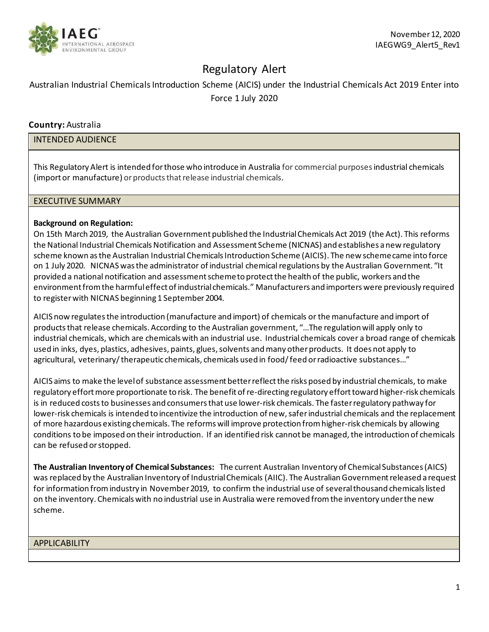

# Regulatory Alert

# Australian Industrial Chemicals Introduction Scheme (AICIS) under the Industrial Chemicals Act 2019 Enter into Force 1 July 2020

# **Country:** Australia

#### INTENDED AUDIENCE

This Regulatory Alert is intended for those who introduce in Australia for commercial purposesindustrial chemicals (import or manufacture) or products that release industrial chemicals.

#### EXECUTIVE SUMMARY

#### **Background on Regulation:**

On 15th March 2019, the Australian Government published the Industrial Chemicals Act 2019 (the Act). This reforms the National Industrial Chemicals Notification and Assessment Scheme (NICNAS) and establishes a new regulatory scheme known as the Australian Industrial Chemicals Introduction Scheme (AICIS). The new scheme came into force on 1 July 2020. NICNAS was the administrator of industrial chemical regulations by the Australian Government. "It provided a national notification and assessment scheme to protect the health of the public, workers and the environment from the harmful effect of industrial chemicals." Manufacturers and importers were previously required to register with NICNAS beginning 1 September 2004.

AICIS now regulates the introduction (manufacture and import) of chemicals or the manufacture and import of products that release chemicals. According to the Australian government, "…The regulation will apply only to industrial chemicals, which are chemicals with an industrial use. Industrial chemicals cover a broad range of chemicals used in inks, dyes, plastics, adhesives, paints, glues, solvents and many other products. It does not apply to agricultural, veterinary/ therapeutic chemicals, chemicals used in food/ feed or radioactive substances…"

AICIS aims to make the level of substance assessment better reflect the risks posed by industrial chemicals, to make regulatory effort more proportionate to risk. The benefit of re-directing regulatory effort toward higher-risk chemicals is in reduced costs to businesses and consumers that use lower-risk chemicals. The faster regulatory pathway for lower-risk chemicals is intended to incentivize the introduction of new, safer industrial chemicals and the replacement of more hazardous existing chemicals. The reforms will improve protection from higher-risk chemicals by allowing conditions to be imposed on their introduction. If an identified risk cannot be managed, the introduction of chemicals can be refused or stopped.

**The Australian Inventory of Chemical Substances:** The current Australian Inventory of Chemical Substances (AICS) was replaced by the Australian Inventory of Industrial Chemicals (AIIC). The Australian Government released a request for information from industry in November 2019, to confirm the industrial use of several thousand chemicals listed on the inventory. Chemicals with no industrial use in Australia were removed from the inventory under the new scheme.

APPLICABILITY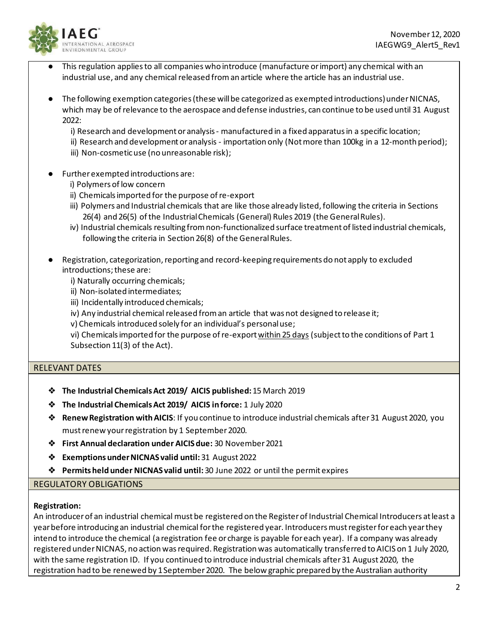

- This regulation applies to all companies who introduce (manufacture or import) any chemical with an industrial use, and any chemical released from an article where the article has an industrial use.
- The following exemption categories (these will be categorized as exempted introductions) under NICNAS, which may be of relevance to the aerospace and defense industries, can continue to be used until 31 August 2022:

i) Research and development or analysis - manufactured in a fixed apparatus in a specific location; ii) Research and development or analysis - importation only (Not more than 100kg in a 12-month period); iii) Non-cosmetic use (no unreasonable risk);

- Further exempted introductions are:
	- i) Polymers of low concern
	- ii) Chemicals imported for the purpose of re-export
	- iii) Polymers and Industrial chemicals that are like those already listed, following the criteria in Sections 26(4) and 26(5) of the Industrial Chemicals (General) Rules 2019 (the General Rules).
	- iv) Industrial chemicals resulting from non-functionalized surface treatment of listed industrial chemicals, following the criteria in Section 26(8) of the General Rules.
- Registration, categorization, reporting and record-keeping requirements do not apply to excluded introductions; these are:
	- i) Naturally occurring chemicals;
	- ii) Non-isolated intermediates;
	- iii) Incidentally introduced chemicals;
	- iv) Any industrial chemical released from an article that was not designed to release it;
	- v) Chemicals introduced solely for an individual's personal use;

vi) Chemicals imported for the purpose of re-export within 25 days (subject to the conditions of Part 1 Subsection 11(3) of the Act).

# RELEVANT DATES

- ❖ **The Industrial Chemicals Act 2019/ AICIS published:** 15 March 2019
- ❖ **The Industrial Chemicals Act 2019/ AICIS in force:** 1 July 2020
- ❖ **Renew Registration with AICIS**: If you continue to introduce industrial chemicals after 31 August 2020, you must renew your registration by 1 September 2020.
- ❖ **First Annual declaration under AICIS due:** 30 November 2021
- ❖ **Exemptions under NICNAS valid until:**31 August 2022
- ❖ **Permits held under NICNAS valid until:** 30 June 2022 or until the permit expires

#### REGULATORY OBLIGATIONS

#### **Registration:**

An introducer of an industrial chemical must be registered on the Register of Industrial Chemical Introducers at least a year before introducing an industrial chemical for the registered year. Introducers must register for each year they intend to introduce the chemical (a registration fee or charge is payable for each year). If a company was already registered under NICNAS, no action was required. Registration was automatically transferred to AICIS on 1 July 2020, with the same registration ID. If you continued to introduce industrial chemicals after 31 August 2020, the registration had to be renewed by 1 September 2020. The below graphic prepared by the Australian authority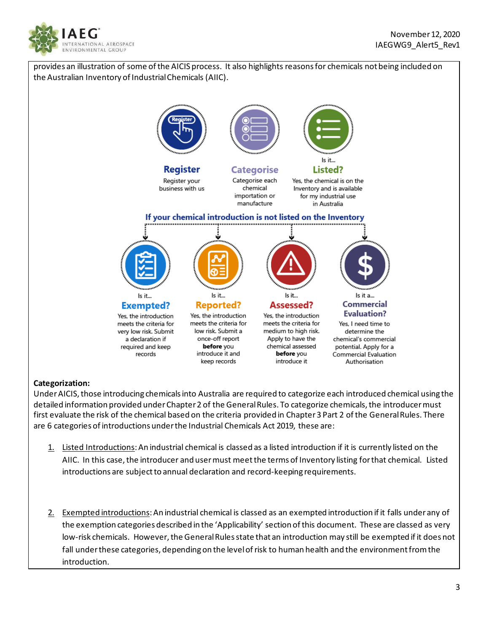



# **Categorization:**

Under AICIS, those introducing chemicals into Australia are required to categorize each introduced chemical using the detailed information provided under Chapter 2 of the General Rules. To categorize chemicals, the introducer must first evaluate the risk of the chemical based on the criteria provided in Chapter 3 Part 2 of the General Rules. There are 6 categories of introductions under the Industrial Chemicals Act 2019, these are:

- 1. Listed Introductions: An industrial chemical is classed as a listed introduction if it is currently listed on the AIIC. In this case, the introducer and user must meet the terms of Inventory listing for that chemical. Listed introductions are subject to annual declaration and record-keeping requirements.
- 2. Exempted introductions: An industrial chemical is classed as an exempted introduction if it falls under any of the exemption categories described in the 'Applicability' section of this document. These are classed as very low-risk chemicals. However, the General Rules state that an introduction may still be exempted if it does not fall under these categories, depending on the level of risk to human health and the environment from the introduction.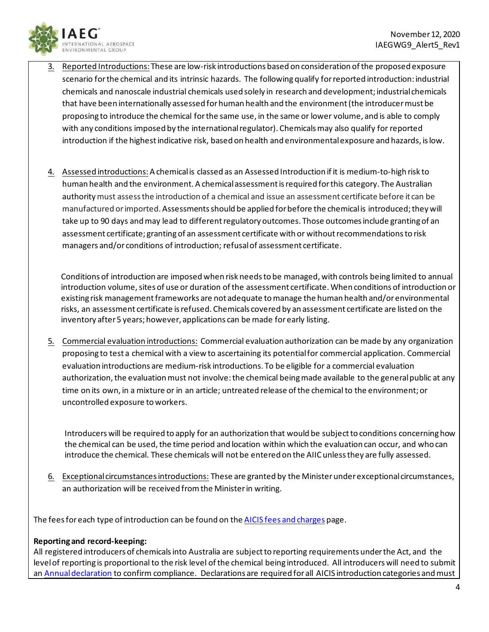

- Reported Introductions: These are low-risk introductions based on consideration of the proposed exposure scenario for the chemical and its intrinsic hazards. The following qualify for reported introduction: industrial chemicals and nanoscale industrial chemicals used solely in research and development; industrial chemicals that have been internationally assessed for human health and the environment (the introducer must be proposing to introduce the chemical for the same use, in the same or lower volume, and is able to comply with any conditions imposed by the international regulator). Chemicals may also qualify for reported introduction if the highest indicative risk, based on health and environmental exposure and hazards, is low.
- 4. Assessed introductions:A chemical is classed as an Assessed Introduction if it is medium-to-high risk to human health and the environment. A chemical assessment is required for this category. The Australian authority must assess the introduction of a chemical and issue an assessment certificate before it can be manufactured or imported. Assessments should be applied for before the chemical is introduced; they will take up to 90 days and may lead to different regulatory outcomes. Those outcomes include granting of an assessment certificate; granting of an assessment certificate with or without recommendations to risk managers and/or conditions of introduction; refusal of assessment certificate.

Conditions of introduction are imposed when risk needs to be managed, with controls being limited to annual introduction volume, sites of use or duration of the assessment certificate. When conditions of introduction or existing risk management frameworks are not adequate to manage the human health and/or environmental risks, an assessment certificate is refused. Chemicals covered by an assessment certificate are listed on the inventory after 5 years; however, applications can be made for early listing.

5. Commercial evaluation introductions: Commercial evaluation authorization can be made by any organization proposing to test a chemical with a view to ascertaining its potential for commercial application. Commercial evaluation introductions are medium-risk introductions. To be eligible for a commercial evaluation authorization, the evaluation must not involve: the chemical being made available to the general public at any time on its own, in a mixture or in an article; untreated release of the chemical to the environment; or uncontrolled exposure to workers.

Introducers will be required to apply for an authorization that would be subject to conditions concerning how the chemical can be used, the time period and location within which the evaluation can occur, and who can introduce the chemical. These chemicals will not be entered on the AIIC unless they are fully assessed.

6. Exceptional circumstances introductions: These are granted by the Minister under exceptional circumstances, an authorization will be received from the Minister in writing.

The fees for each type of introduction can be found on th[e AICIS fees and charges](https://www.nicnas.gov.au/New-scheme-1-July-2020/aicis-fees-and-charges-from-1-july-2020#_blank) page.

# **Reporting and record-keeping:**

All registered introducers of chemicals into Australia are subject to reporting requirements under the Act, and the level of reporting is proportional to the risk level of the chemical being introduced. All introducers will need to submit a[n Annual declaration](https://www.nicnas.gov.au/New-scheme-1-July-2020/aicis-topics/compliance,-reporting-and-record-keeping/assets/annual-declaration) to confirm compliance. Declarations are required for all AICIS introduction categories and must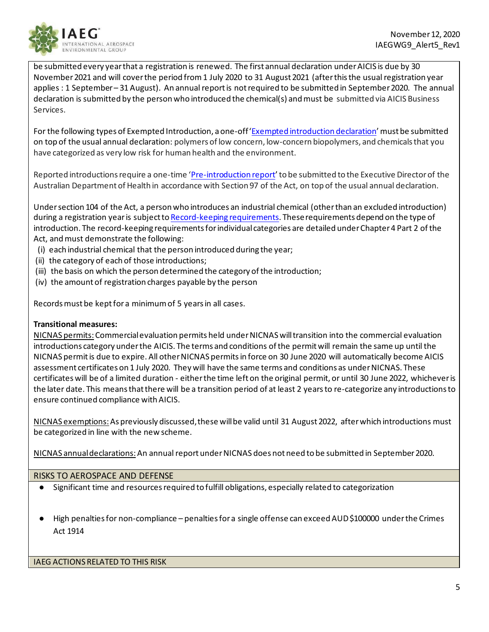

be submitted every year that a registration is renewed. The first annual declaration under AICIS is due by 30 November 2021 and will cover the period from 1 July 2020 to 31 August 2021 (after this the usual registration year applies : 1 September – 31 August). An annual report is not required to be submitted in September 2020. The annual declaration is submitted by the person who introduced the chemical(s) and must be submitted via AICIS Business Services.

For the following types of Exempted Introduction, a one-off ['Exempted introduction declaration'](https://www.nicnas.gov.au/New-scheme-1-July-2020/aicis-topics/compliance,-reporting-and-record-keeping/assets/exempted-introduction-declaration) must be submitted on top of the usual annual declaration: polymers of low concern, low-concern biopolymers, and chemicals that you have categorized as very low risk for human health and the environment.

Reported introductions require a one-time ['Pre-introduction report](https://www.nicnas.gov.au/New-scheme-1-July-2020/aicis-topics/compliance,-reporting-and-record-keeping/assets/AICIS-Pre-introduction-reports-Reported-introductions)' to be submitted to the Executive Director of the Australian Department of Health in accordance with Section 97 of the Act, on top of the usual annual declaration.

Under section 104 of the Act, a person who introduces an industrial chemical (other than an excluded introduction) during a registration year is subject t[o Record-keeping requirements](https://www.nicnas.gov.au/New-scheme-1-July-2020/aicis-topics/compliance,-reporting-and-record-keeping). These requirements depend on the type of introduction. The record-keeping requirements for individual categories are detailed under Chapter 4 Part 2 of the Act, and must demonstrate the following:

- (i) each industrial chemical that the person introduced during the year;
- (ii) the category of each of those introductions;
- (iii) the basis on which the person determined the category of the introduction;
- (iv) the amount of registration charges payable by the person

Records must be kept for a minimum of 5 years in all cases.

#### **Transitional measures:**

NICNAS permits:Commercial evaluation permits held under NICNAS will transition into the commercial evaluation introductions category under the AICIS. The terms and conditions of the permit will remain the same up until the NICNAS permit is due to expire. All other NICNAS permits in force on 30 June 2020 will automatically become AICIS assessment certificates on 1 July 2020. They will have the same terms and conditions as under NICNAS. These certificates will be of a limited duration - either the time left on the original permit, or until 30 June 2022, whichever is the later date. This means that there will be a transition period of at least 2 years to re-categorize any introductions to ensure continued compliance with AICIS.

NICNAS exemptions:As previously discussed, these will be valid until 31 August 2022, after which introductions must be categorized in line with the new scheme.

NICNAS annual declarations:An annual report under NICNAS does not need to be submitted in September 2020.

# RISKS TO AEROSPACE AND DEFENSE

- Significant time and resources required to fulfill obligations, especially related to categorization
- High penalties for non-compliance penalties for a single offense can exceed AUD \$100000 under the Crimes Act 1914

IAEG ACTIONS RELATED TO THIS RISK